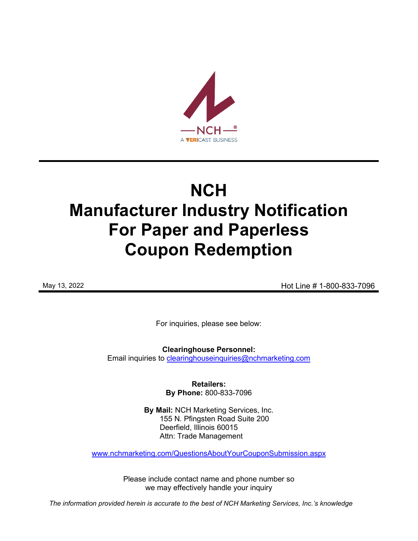

# **NCH Manufacturer Industry Notification For Paper and Paperless Coupon Redemption**

May 13, 2022 **May 13, 2022 Hot Line # 1-800-833-7096** 

For inquiries, please see below:

**Clearinghouse Personnel:**  Email inquiries to [clearinghouseinquiries@nchmarketing.com](mailto:clearinghouseinquiries@nchmarketing.com)

> **Retailers: By Phone:** 800-833-7096

**By Mail:** NCH Marketing Services, Inc. 155 N. Pfingsten Road Suite 200 Deerfield, Illinois 60015 Attn: Trade Management

[www.nchmarketing.com/QuestionsAboutYourCouponSubmission.aspx](http://www.nchmarketing.com/QuestionsAboutYourCouponSubmission.aspx)

Please include contact name and phone number so we may effectively handle your inquiry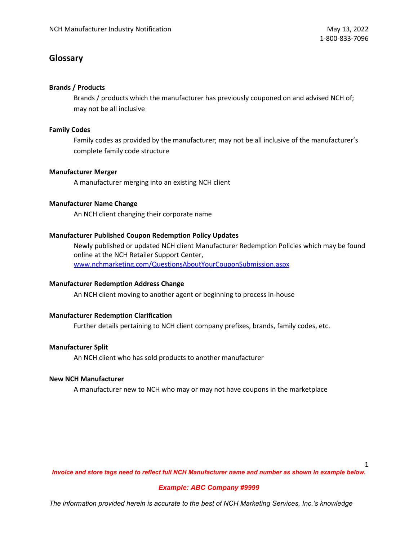## **Glossary**

## **Brands / Products**

Brands / products which the manufacturer has previously couponed on and advised NCH of; may not be all inclusive

## **Family Codes**

Family codes as provided by the manufacturer; may not be all inclusive of the manufacturer's complete family code structure

## **Manufacturer Merger**

A manufacturer merging into an existing NCH client

#### **Manufacturer Name Change**

An NCH client changing their corporate name

## **Manufacturer Published Coupon Redemption Policy Updates**

Newly published or updated NCH client Manufacturer Redemption Policies which may be found online at the NCH Retailer Support Center, [www.nchmarketing.com/QuestionsAboutYourCouponSubmission.aspx](http://www.nchmarketing.com/QuestionsAboutYourCouponSubmission.aspx)

## **Manufacturer Redemption Address Change**

An NCH client moving to another agent or beginning to process in-house

## **Manufacturer Redemption Clarification**

Further details pertaining to NCH client company prefixes, brands, family codes, etc.

## **Manufacturer Split**

An NCH client who has sold products to another manufacturer

## **New NCH Manufacturer**

A manufacturer new to NCH who may or may not have coupons in the marketplace

1

*Invoice and store tags need to reflect full NCH Manufacturer name and number as shown in example below.*

## *Example: ABC Company #9999*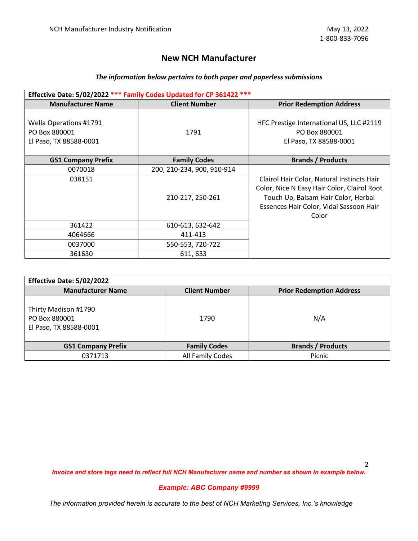# **New NCH Manufacturer**

## *The information below pertains to both paper and paperless submissions*

| Effective Date: 5/02/2022 *** Family Codes Updated for CP 361422 *** |                            |                                                                                                                                                                                      |  |  |  |  |
|----------------------------------------------------------------------|----------------------------|--------------------------------------------------------------------------------------------------------------------------------------------------------------------------------------|--|--|--|--|
| <b>Manufacturer Name</b>                                             | <b>Client Number</b>       | <b>Prior Redemption Address</b>                                                                                                                                                      |  |  |  |  |
| Wella Operations #1791<br>PO Box 880001<br>El Paso, TX 88588-0001    | 1791                       | HFC Prestige International US, LLC #2119<br>PO Box 880001<br>El Paso, TX 88588-0001                                                                                                  |  |  |  |  |
| <b>GS1 Company Prefix</b>                                            | <b>Family Codes</b>        | <b>Brands / Products</b>                                                                                                                                                             |  |  |  |  |
| 0070018                                                              | 200, 210-234, 900, 910-914 |                                                                                                                                                                                      |  |  |  |  |
| 038151                                                               | 210-217, 250-261           | Clairol Hair Color, Natural Instincts Hair<br>Color, Nice N Easy Hair Color, Clairol Root<br>Touch Up, Balsam Hair Color, Herbal<br>Essences Hair Color, Vidal Sassoon Hair<br>Color |  |  |  |  |
| 361422                                                               | 610-613, 632-642           |                                                                                                                                                                                      |  |  |  |  |
| 4064666                                                              | 411-413                    |                                                                                                                                                                                      |  |  |  |  |
| 0037000                                                              | 550-553, 720-722           |                                                                                                                                                                                      |  |  |  |  |
| 361630                                                               | 611, 633                   |                                                                                                                                                                                      |  |  |  |  |

| Effective Date: 5/02/2022                                       |                      |                                 |
|-----------------------------------------------------------------|----------------------|---------------------------------|
| <b>Manufacturer Name</b>                                        | <b>Client Number</b> | <b>Prior Redemption Address</b> |
| Thirty Madison #1790<br>PO Box 880001<br>El Paso, TX 88588-0001 | 1790                 | N/A                             |
| <b>GS1 Company Prefix</b>                                       | <b>Family Codes</b>  | <b>Brands / Products</b>        |
| 0371713                                                         | All Family Codes     | Picnic                          |

*Invoice and store tags need to reflect full NCH Manufacturer name and number as shown in example below.*

#### *Example: ABC Company #9999*

*The information provided herein is accurate to the best of NCH Marketing Services, Inc.'s knowledge*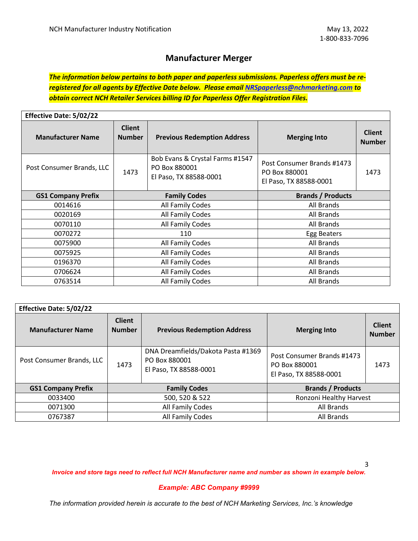## **Manufacturer Merger**

*The information below pertains to both paper and paperless submissions. Paperless offers must be reregistered for all agents by Effective Date below. Please email [NRSpaperless@nchmarketing.com](mailto:NRSpaperless@nchmarketing.com) to obtain correct NCH Retailer Services billing ID for Paperless Offer Registration Files.*

| <b>Effective Date: 5/02/22</b> |                                |                                                                            |                                                                       |                                |  |  |
|--------------------------------|--------------------------------|----------------------------------------------------------------------------|-----------------------------------------------------------------------|--------------------------------|--|--|
| <b>Manufacturer Name</b>       | <b>Client</b><br><b>Number</b> | <b>Previous Redemption Address</b>                                         | <b>Merging Into</b>                                                   | <b>Client</b><br><b>Number</b> |  |  |
| Post Consumer Brands, LLC      | 1473                           | Bob Evans & Crystal Farms #1547<br>PO Box 880001<br>El Paso, TX 88588-0001 | Post Consumer Brands #1473<br>PO Box 880001<br>El Paso, TX 88588-0001 | 1473                           |  |  |
| <b>GS1 Company Prefix</b>      |                                | <b>Family Codes</b>                                                        | <b>Brands / Products</b>                                              |                                |  |  |
| 0014616                        |                                | All Family Codes                                                           | All Brands                                                            |                                |  |  |
| 0020169                        |                                | All Family Codes                                                           | All Brands                                                            |                                |  |  |
| 0070110                        |                                | All Family Codes                                                           | All Brands                                                            |                                |  |  |
| 0070272                        |                                | 110                                                                        | Egg Beaters                                                           |                                |  |  |
| 0075900                        |                                | All Family Codes                                                           | All Brands                                                            |                                |  |  |
| 0075925                        |                                | All Family Codes                                                           | All Brands                                                            |                                |  |  |
| 0196370                        |                                | All Family Codes                                                           | All Brands                                                            |                                |  |  |
| 0706624                        |                                | All Family Codes                                                           | All Brands                                                            |                                |  |  |
| 0763514                        |                                | All Family Codes                                                           | All Brands                                                            |                                |  |  |

| <b>Effective Date: 5/02/22</b> |                                |                                                                               |                                                                       |                                |  |  |
|--------------------------------|--------------------------------|-------------------------------------------------------------------------------|-----------------------------------------------------------------------|--------------------------------|--|--|
| <b>Manufacturer Name</b>       | <b>Client</b><br><b>Number</b> | <b>Previous Redemption Address</b>                                            | <b>Merging Into</b>                                                   | <b>Client</b><br><b>Number</b> |  |  |
| Post Consumer Brands, LLC      | 1473                           | DNA Dreamfields/Dakota Pasta #1369<br>PO Box 880001<br>El Paso, TX 88588-0001 | Post Consumer Brands #1473<br>PO Box 880001<br>El Paso, TX 88588-0001 | 1473                           |  |  |
| <b>GS1 Company Prefix</b>      |                                | <b>Family Codes</b>                                                           | <b>Brands / Products</b>                                              |                                |  |  |
| 0033400                        |                                | 500, 520 & 522                                                                | Ronzoni Healthy Harvest                                               |                                |  |  |
| 0071300                        |                                | All Family Codes                                                              | All Brands                                                            |                                |  |  |
| 0767387                        |                                | All Family Codes                                                              | All Brands                                                            |                                |  |  |

*Invoice and store tags need to reflect full NCH Manufacturer name and number as shown in example below.*

#### *Example: ABC Company #9999*

*The information provided herein is accurate to the best of NCH Marketing Services, Inc.'s knowledge*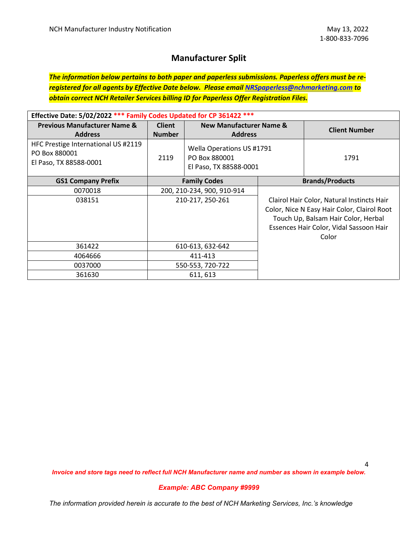# **Manufacturer Split**

*The information below pertains to both paper and paperless submissions. Paperless offers must be reregistered for all agents by Effective Date below. Please email [NRSpaperless@nchmarketing.com](mailto:NRSpaperless@nchmarketing.com) to obtain correct NCH Retailer Services billing ID for Paperless Offer Registration Files.*

| Effective Date: 5/02/2022 *** Family Codes Updated for CP 361422 ***           |                                |                                                                      |  |                                                                                                                                                                                      |
|--------------------------------------------------------------------------------|--------------------------------|----------------------------------------------------------------------|--|--------------------------------------------------------------------------------------------------------------------------------------------------------------------------------------|
| <b>Previous Manufacturer Name &amp;</b><br><b>Address</b>                      | <b>Client</b><br><b>Number</b> | <b>New Manufacturer Name &amp;</b><br><b>Address</b>                 |  | <b>Client Number</b>                                                                                                                                                                 |
| HFC Prestige International US #2119<br>PO Box 880001<br>El Paso, TX 88588-0001 | 2119                           | Wella Operations US #1791<br>PO Box 880001<br>El Paso, TX 88588-0001 |  | 1791                                                                                                                                                                                 |
| <b>GS1 Company Prefix</b>                                                      | <b>Family Codes</b>            |                                                                      |  | <b>Brands/Products</b>                                                                                                                                                               |
| 0070018                                                                        |                                | 200, 210-234, 900, 910-914                                           |  |                                                                                                                                                                                      |
| 038151                                                                         | 210-217, 250-261               |                                                                      |  | Clairol Hair Color, Natural Instincts Hair<br>Color, Nice N Easy Hair Color, Clairol Root<br>Touch Up, Balsam Hair Color, Herbal<br>Essences Hair Color, Vidal Sassoon Hair<br>Color |
| 361422                                                                         |                                | 610-613, 632-642                                                     |  |                                                                                                                                                                                      |
| 4064666                                                                        | 411-413                        |                                                                      |  |                                                                                                                                                                                      |
| 0037000                                                                        | 550-553, 720-722               |                                                                      |  |                                                                                                                                                                                      |
| 361630                                                                         |                                | 611, 613                                                             |  |                                                                                                                                                                                      |

4

*Invoice and store tags need to reflect full NCH Manufacturer name and number as shown in example below.*

#### *Example: ABC Company #9999*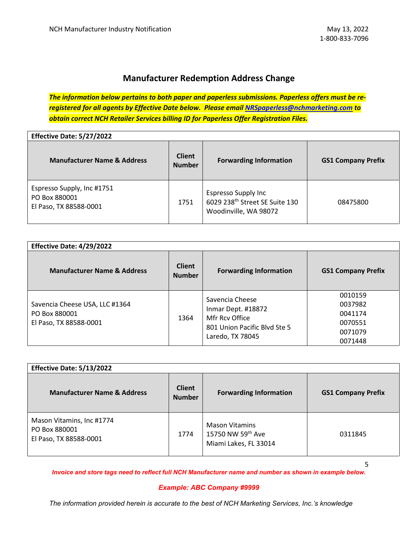# **Manufacturer Redemption Address Change**

*The information below pertains to both paper and paperless submissions. Paperless offers must be reregistered for all agents by Effective Date below. Please email [NRSpaperless@nchmarketing.com](mailto:NRSpaperless@nchmarketing.com) to obtain correct NCH Retailer Services billing ID for Paperless Offer Registration Files.*

**Effective Date: 5/27/2022**

| <b>Manufacturer Name &amp; Address</b>                                | <b>Client</b><br><b>Number</b> | <b>Forwarding Information</b>                                                                     | <b>GS1 Company Prefix</b> |
|-----------------------------------------------------------------------|--------------------------------|---------------------------------------------------------------------------------------------------|---------------------------|
| Espresso Supply, Inc #1751<br>PO Box 880001<br>El Paso, TX 88588-0001 | 1751                           | <b>Espresso Supply Inc</b><br>6029 238 <sup>th</sup> Street SE Suite 130<br>Woodinville, WA 98072 | 08475800                  |

| Effective Date: 4/29/2022                                                 |                                |                                                                                                             |                                                                |
|---------------------------------------------------------------------------|--------------------------------|-------------------------------------------------------------------------------------------------------------|----------------------------------------------------------------|
| <b>Manufacturer Name &amp; Address</b>                                    | <b>Client</b><br><b>Number</b> | <b>Forwarding Information</b>                                                                               | <b>GS1 Company Prefix</b>                                      |
| Savencia Cheese USA, LLC #1364<br>PO Box 880001<br>El Paso, TX 88588-0001 | 1364                           | Savencia Cheese<br>Inmar Dept. #18872<br>Mfr Rcv Office<br>801 Union Pacific Blvd Ste 5<br>Laredo, TX 78045 | 0010159<br>0037982<br>0041174<br>0070551<br>0071079<br>0071448 |

| Effective Date: 5/13/2022                                            |                                |                                                                     |                           |
|----------------------------------------------------------------------|--------------------------------|---------------------------------------------------------------------|---------------------------|
| <b>Manufacturer Name &amp; Address</b>                               | <b>Client</b><br><b>Number</b> | <b>Forwarding Information</b>                                       | <b>GS1 Company Prefix</b> |
| Mason Vitamins, Inc #1774<br>PO Box 880001<br>El Paso, TX 88588-0001 | 1774                           | <b>Mason Vitamins</b><br>15750 NW 59th Ave<br>Miami Lakes, FL 33014 | 0311845                   |

5

*Invoice and store tags need to reflect full NCH Manufacturer name and number as shown in example below.*

#### *Example: ABC Company #9999*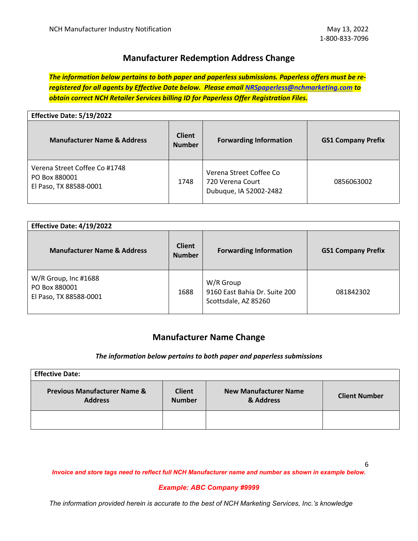## **Manufacturer Redemption Address Change**

*The information below pertains to both paper and paperless submissions. Paperless offers must be reregistered for all agents by Effective Date below. Please email [NRSpaperless@nchmarketing.com](mailto:NRSpaperless@nchmarketing.com) to obtain correct NCH Retailer Services billing ID for Paperless Offer Registration Files.*

| Effective Date: 5/19/2022                                                |                                |                                                                       |                           |
|--------------------------------------------------------------------------|--------------------------------|-----------------------------------------------------------------------|---------------------------|
| <b>Manufacturer Name &amp; Address</b>                                   | <b>Client</b><br><b>Number</b> | <b>Forwarding Information</b>                                         | <b>GS1 Company Prefix</b> |
| Verena Street Coffee Co #1748<br>PO Box 880001<br>El Paso, TX 88588-0001 | 1748                           | Verena Street Coffee Co<br>720 Verena Court<br>Dubuque, IA 52002-2482 | 0856063002                |

| Effective Date: 4/19/2022                                       |                                |                                                                    |                           |
|-----------------------------------------------------------------|--------------------------------|--------------------------------------------------------------------|---------------------------|
| <b>Manufacturer Name &amp; Address</b>                          | <b>Client</b><br><b>Number</b> | <b>Forwarding Information</b>                                      | <b>GS1 Company Prefix</b> |
| W/R Group, Inc #1688<br>PO Box 880001<br>El Paso, TX 88588-0001 | 1688                           | W/R Group<br>9160 East Bahia Dr. Suite 200<br>Scottsdale, AZ 85260 | 081842302                 |

## **Manufacturer Name Change**

#### *The information below pertains to both paper and paperless submissions*

| <b>Effective Date:</b>                                    |                                |                                           |                      |
|-----------------------------------------------------------|--------------------------------|-------------------------------------------|----------------------|
| <b>Previous Manufacturer Name &amp;</b><br><b>Address</b> | <b>Client</b><br><b>Number</b> | <b>New Manufacturer Name</b><br>& Address | <b>Client Number</b> |
|                                                           |                                |                                           |                      |

*Invoice and store tags need to reflect full NCH Manufacturer name and number as shown in example below.*

#### *Example: ABC Company #9999*

*The information provided herein is accurate to the best of NCH Marketing Services, Inc.'s knowledge*